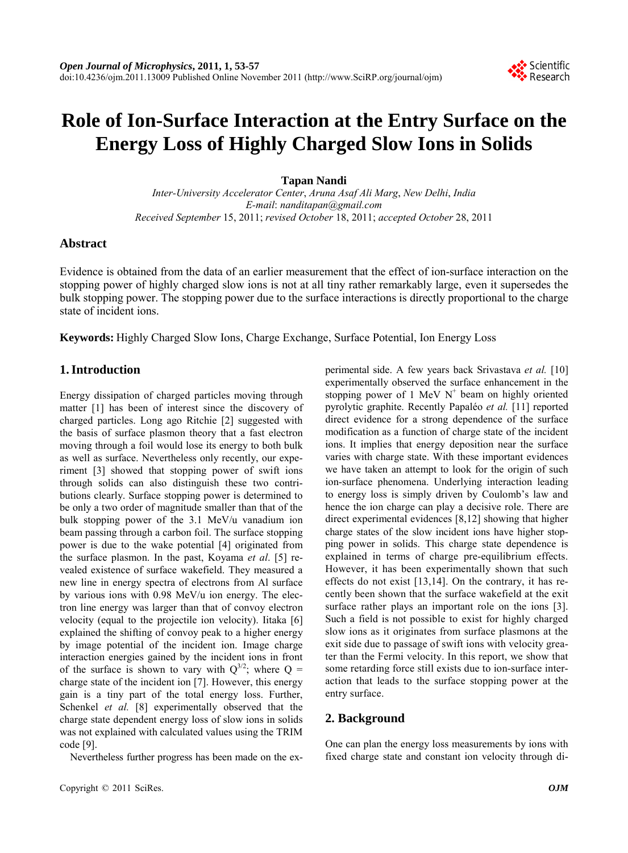# **Role of Ion-Surface Interaction at the Entry Surface on the Energy Loss of Highly Charged Slow Ions in Solids**

## **Tapan Nandi**

*Inter-University Accelerator Center*, *Aruna Asaf Ali Marg*, *New Delhi*, *India E-mail*: *nanditapan@gmail.com Received September* 15, 2011; *revised October* 18, 2011; *accepted October* 28, 2011

## **Abstract**

Evidence is obtained from the data of an earlier measurement that the effect of ion-surface interaction on the stopping power of highly charged slow ions is not at all tiny rather remarkably large, even it supersedes the bulk stopping power. The stopping power due to the surface interactions is directly proportional to the charge state of incident ions.

**Keywords:** Highly Charged Slow Ions, Charge Exchange, Surface Potential, Ion Energy Loss

## **1. Introduction**

Energy dissipation of charged particles moving through matter [1] has been of interest since the discovery of charged particles. Long ago Ritchie [2] suggested with the basis of surface plasmon theory that a fast electron moving through a foil would lose its energy to both bulk as well as surface. Nevertheless only recently, our experiment [3] showed that stopping power of swift ions through solids can also distinguish these two contributions clearly. Surface stopping power is determined to be only a two order of magnitude smaller than that of the bulk stopping power of the 3.1 MeV/u vanadium ion beam passing through a carbon foil. The surface stopping power is due to the wake potential [4] originated from the surface plasmon. In the past, Koyama *et al*. [5] revealed existence of surface wakefield. They measured a new line in energy spectra of electrons from Al surface by various ions with 0.98 MeV/u ion energy. The electron line energy was larger than that of convoy electron velocity (equal to the projectile ion velocity). Iitaka [6] explained the shifting of convoy peak to a higher energy by image potential of the incident ion. Image charge interaction energies gained by the incident ions in front of the surface is shown to vary with  $Q^{3/2}$ ; where  $Q =$ charge state of the incident ion [7]. However, this energy gain is a tiny part of the total energy loss. Further, Schenkel *et al.* [8] experimentally observed that the charge state dependent energy loss of slow ions in solids was not explained with calculated values using the TRIM code [9].

Nevertheless further progress has been made on the ex-

perimental side. A few years back Srivastava *et al.* [10] experimentally observed the surface enhancement in the stopping power of 1 MeV  $N^+$  beam on highly oriented pyrolytic graphite. Recently Papaléo *et al.* [11] reported direct evidence for a strong dependence of the surface modification as a function of charge state of the incident ions. It implies that energy deposition near the surface varies with charge state. With these important evidences we have taken an attempt to look for the origin of such ion-surface phenomena. Underlying interaction leading to energy loss is simply driven by Coulomb's law and hence the ion charge can play a decisive role. There are direct experimental evidences [8,12] showing that higher charge states of the slow incident ions have higher stopping power in solids. This charge state dependence is explained in terms of charge pre-equilibrium effects. However, it has been experimentally shown that such effects do not exist [13,14]. On the contrary, it has recently been shown that the surface wakefield at the exit surface rather plays an important role on the ions [3]. Such a field is not possible to exist for highly charged slow ions as it originates from surface plasmons at the exit side due to passage of swift ions with velocity greater than the Fermi velocity. In this report, we show that some retarding force still exists due to ion-surface interaction that leads to the surface stopping power at the entry surface.

## **2. Background**

One can plan the energy loss measurements by ions with fixed charge state and constant ion velocity through di-

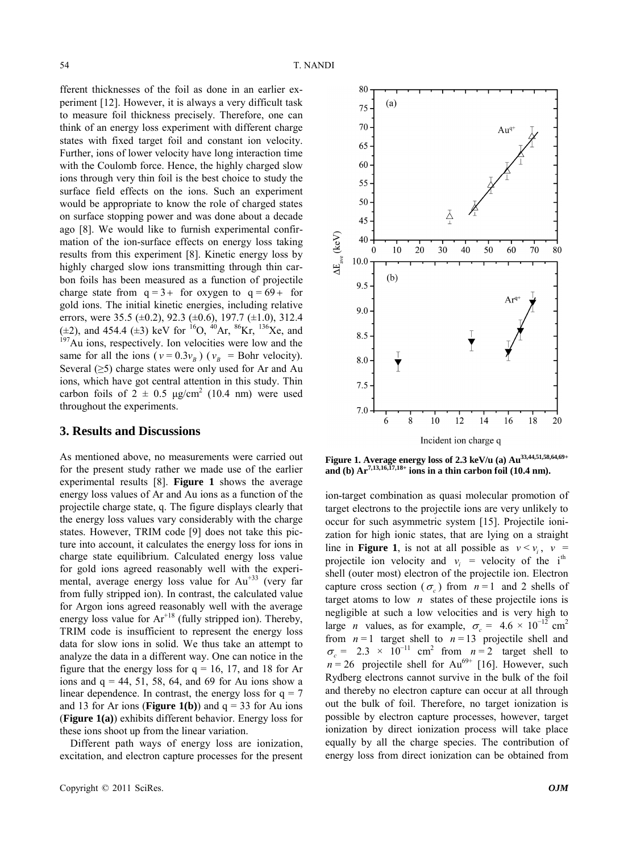fferent thicknesses of the foil as done in an earlier experiment [12]. However, it is always a very difficult task to measure foil thickness precisely. Therefore, one can think of an energy loss experiment with different charge states with fixed target foil and constant ion velocity. Further, ions of lower velocity have long interaction time with the Coulomb force. Hence, the highly charged slow ions through very thin foil is the best choice to study the surface field effects on the ions. Such an experiment would be appropriate to know the role of charged states on surface stopping power and was done about a decade ago [8]. We would like to furnish experimental confirmation of the ion-surface effects on energy loss taking results from this experiment [8]. Kinetic energy loss by highly charged slow ions transmitting through thin carbon foils has been measured as a function of projectile charge state from  $q=3+$  for oxygen to  $q=69+$  for gold ions. The initial kinetic energies, including relative errors, were 35.5 ( $\pm$ 0.2), 92.3 ( $\pm$ 0.6), 197.7 ( $\pm$ 1.0), 312.4 ( $\pm$ 2), and 454.4 ( $\pm$ 3) keV for <sup>16</sup>O, <sup>40</sup>Ar, <sup>86</sup>Kr, <sup>136</sup>Xe, and <sup>197</sup>Au ions, respectively. Ion velocities were low and the same for all the ions ( $v = 0.3v_B$ ) ( $v_B$  = Bohr velocity). Several  $(\geq 5)$  charge states were only used for Ar and Au ions, which have got central attention in this study. Thin carbon foils of  $2 \pm 0.5$   $\mu$ g/cm<sup>2</sup> (10.4 nm) were used throughout the experiments.

#### **3. Results and Discussions**

As mentioned above, no measurements were carried out for the present study rather we made use of the earlier experimental results [8]. **Figure 1** shows the average energy loss values of Ar and Au ions as a function of the projectile charge state, q. The figure displays clearly that the energy loss values vary considerably with the charge states. However, TRIM code [9] does not take this picture into account, it calculates the energy loss for ions in charge state equilibrium. Calculated energy loss value for gold ions agreed reasonably well with the experimental, average energy loss value for Au<sup>+33</sup> (very far from fully stripped ion). In contrast, the calculated value for Argon ions agreed reasonably well with the average energy loss value for Ar<sup>+18</sup> (fully stripped ion). Thereby, TRIM code is insufficient to represent the energy loss data for slow ions in solid. We thus take an attempt to analyze the data in a different way. One can notice in the figure that the energy loss for  $q = 16$ , 17, and 18 for Ar ions and  $q = 44, 51, 58, 64,$  and 69 for Au ions show a linear dependence. In contrast, the energy loss for  $q = 7$ and 13 for Ar ions (**Figure 1(b)**) and  $q = 33$  for Au ions (**Figure 1(a)**) exhibits different behavior. Energy loss for these ions shoot up from the linear variation.

Different path ways of energy loss are ionization, excitation, and electron capture processes for the present



**Figure 1. Average energy loss of 2.3 keV/u (a) Au33,44,51,58,64,69+** and (b)  $Ar^{7,13,16,17,18+}$  ions in a thin carbon foil (10.4 nm).

ion-target combination as quasi molecular promotion of target electrons to the projectile ions are very unlikely to occur for such asymmetric system [15]. Projectile ionization for high ionic states, that are lying on a straight line in **Figure 1**, is not at all possible as  $v < v_i$ ,  $v =$ projectile ion velocity and  $v_i$  = velocity of the i<sup>th</sup> shell (outer most) electron of the projectile ion. Electron capture cross section ( $\sigma_c$ ) from  $n=1$  and 2 shells of target atoms to low  $n$  states of these projectile ions is negligible at such a low velocities and is very high to large *n* values, as for example,  $\sigma_c = 4.6 \times 10^{-12}$  cm<sup>2</sup> from  $n = 1$  target shell to  $n = 13$  projectile shell and  $\sigma_c = 2.3 \times 10^{-11}$  cm<sup>2</sup> from  $n = 2$  target shell to  $n = 26$  projectile shell for Au<sup>69+</sup> [16]. However, such Rydberg electrons cannot survive in the bulk of the foil and thereby no electron capture can occur at all through out the bulk of foil. Therefore, no target ionization is possible by electron capture processes, however, target ionization by direct ionization process will take place equally by all the charge species. The contribution of energy loss from direct ionization can be obtained from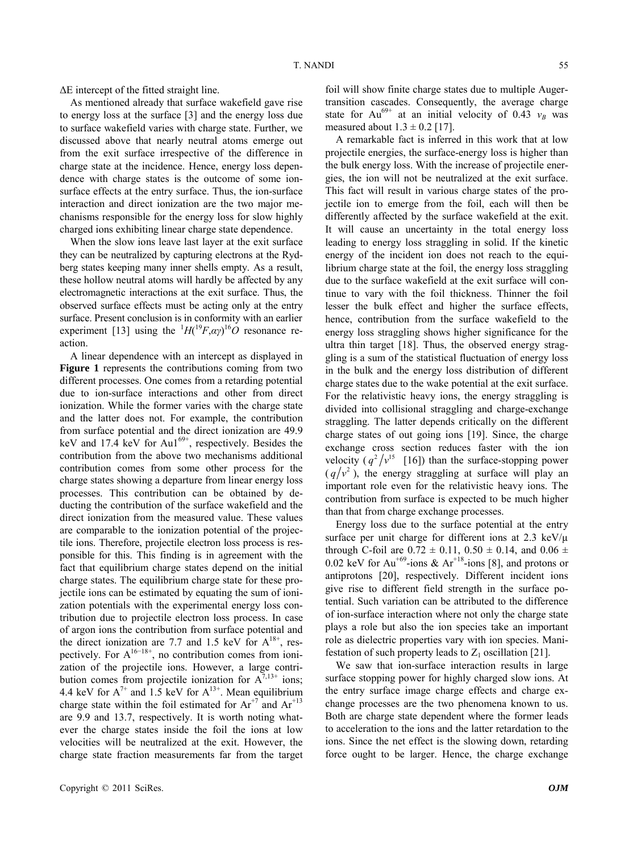ΔE intercept of the fitted straight line.

As mentioned already that surface wakefield gave rise to energy loss at the surface [3] and the energy loss due to surface wakefield varies with charge state. Further, we discussed above that nearly neutral atoms emerge out from the exit surface irrespective of the difference in charge state at the incidence. Hence, energy loss dependence with charge states is the outcome of some ionsurface effects at the entry surface. Thus, the ion-surface interaction and direct ionization are the two major mechanisms responsible for the energy loss for slow highly charged ions exhibiting linear charge state dependence.

When the slow ions leave last layer at the exit surface they can be neutralized by capturing electrons at the Rydberg states keeping many inner shells empty. As a result, these hollow neutral atoms will hardly be affected by any electromagnetic interactions at the exit surface. Thus, the observed surface effects must be acting only at the entry surface. Present conclusion is in conformity with an earlier experiment [13] using the  $H(^{19}F,\alpha\gamma)^{16}O$  resonance reaction.

A linear dependence with an intercept as displayed in **Figure 1** represents the contributions coming from two different processes. One comes from a retarding potential due to ion-surface interactions and other from direct ionization. While the former varies with the charge state and the latter does not. For example, the contribution from surface potential and the direct ionization are 49.9 keV and 17.4 keV for Au1 $^{69+}$ , respectively. Besides the contribution from the above two mechanisms additional contribution comes from some other process for the charge states showing a departure from linear energy loss processes. This contribution can be obtained by deducting the contribution of the surface wakefield and the direct ionization from the measured value. These values are comparable to the ionization potential of the projectile ions. Therefore, projectile electron loss process is responsible for this. This finding is in agreement with the fact that equilibrium charge states depend on the initial charge states. The equilibrium charge state for these projectile ions can be estimated by equating the sum of ionization potentials with the experimental energy loss contribution due to projectile electron loss process. In case of argon ions the contribution from surface potential and the direct ionization are 7.7 and 1.5 keV for  $A^{18+}$ , respectively. For  $A^{16-18+}$ , no contribution comes from ionization of the projectile ions. However, a large contribution comes from projectile ionization for  $A^{\bar{7},13+}$  ions; 4.4 keV for  $A^{7+}$  and 1.5 keV for  $A^{13+}$ . Mean equilibrium charge state within the foil estimated for  $Ar^{+7}$  and  $Ar^{+13}$ are 9.9 and 13.7, respectively. It is worth noting whatever the charge states inside the foil the ions at low velocities will be neutralized at the exit. However, the charge state fraction measurements far from the target

librium charge state at the foil, the energy loss straggling

due to the surface wakefield at the exit surface will continue to vary with the foil thickness. Thinner the foil lesser the bulk effect and higher the surface effects, hence, contribution from the surface wakefield to the energy loss straggling shows higher significance for the ultra thin target [18]. Thus, the observed energy straggling is a sum of the statistical fluctuation of energy loss in the bulk and the energy loss distribution of different charge states due to the wake potential at the exit surface. For the relativistic heavy ions, the energy straggling is divided into collisional straggling and charge-exchange straggling. The latter depends critically on the different charge states of out going ions [19]. Since, the charge exchange cross section reduces faster with the ion velocity  $(q^2/v^{15}$  [16]) than the surface-stopping power  $(q/v^2)$ , the energy straggling at surface will play an important role even for the relativistic heavy ions. The contribution from surface is expected to be much higher than that from charge exchange processes.

foil will show finite charge states due to multiple Augertransition cascades. Consequently, the average charge state for Au<sup>69+</sup> at an initial velocity of 0.43  $v_B$  was

A remarkable fact is inferred in this work that at low projectile energies, the surface-energy loss is higher than the bulk energy loss. With the increase of projectile energies, the ion will not be neutralized at the exit surface. This fact will result in various charge states of the projectile ion to emerge from the foil, each will then be differently affected by the surface wakefield at the exit. It will cause an uncertainty in the total energy loss leading to energy loss straggling in solid. If the kinetic energy of the incident ion does not reach to the equi-

measured about  $1.3 \pm 0.2$  [17].

Energy loss due to the surface potential at the entry surface per unit charge for different ions at  $2.3 \text{ keV}/\mu$ through C-foil are  $0.72 \pm 0.11$ ,  $0.50 \pm 0.14$ , and  $0.06 \pm 0.14$ 0.02 keV for  $Au^{+69}$ -ions &  $Ar^{+18}$ -ions [8], and protons or antiprotons [20], respectively. Different incident ions give rise to different field strength in the surface potential. Such variation can be attributed to the difference of ion-surface interaction where not only the charge state plays a role but also the ion species take an important role as dielectric properties vary with ion species. Manifestation of such property leads to  $Z_1$  oscillation [21].

We saw that ion-surface interaction results in large surface stopping power for highly charged slow ions. At the entry surface image charge effects and charge exchange processes are the two phenomena known to us. Both are charge state dependent where the former leads to acceleration to the ions and the latter retardation to the ions. Since the net effect is the slowing down, retarding force ought to be larger. Hence, the charge exchange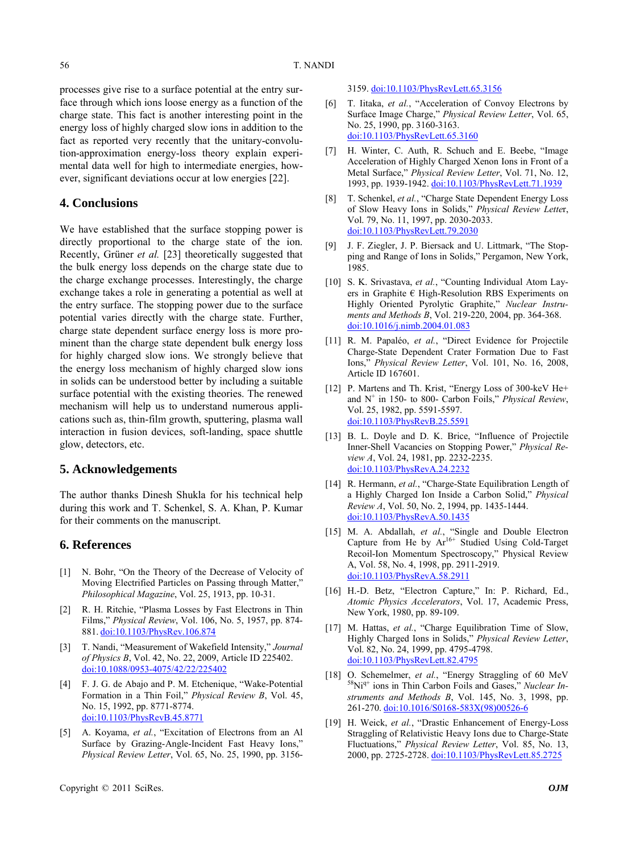processes give rise to a surface potential at the entry surface through which ions loose energy as a function of the charge state. This fact is another interesting point in the energy loss of highly charged slow ions in addition to the fact as reported very recently that the unitary-convolution-approximation energy-loss theory explain experimental data well for high to intermediate energies, however, significant deviations occur at low energies [22].

## **4. Conclusions**

We have established that the surface stopping power is directly proportional to the charge state of the ion. Recently, Grüner *et al.* [23] theoretically suggested that the bulk energy loss depends on the charge state due to the charge exchange processes. Interestingly, the charge exchange takes a role in generating a potential as well at the entry surface. The stopping power due to the surface potential varies directly with the charge state. Further, charge state dependent surface energy loss is more prominent than the charge state dependent bulk energy loss for highly charged slow ions. We strongly believe that the energy loss mechanism of highly charged slow ions in solids can be understood better by including a suitable surface potential with the existing theories. The renewed mechanism will help us to understand numerous applications such as, thin-film growth, sputtering, plasma wall interaction in fusion devices, soft-landing, space shuttle glow, detectors, etc.

### **5. Acknowledgements**

The author thanks Dinesh Shukla for his technical help during this work and T. Schenkel, S. A. Khan, P. Kumar for their comments on the manuscript.

## **6. References**

- [1] N. Bohr, "On the Theory of the Decrease of Velocity of Moving Electrified Particles on Passing through Matter," *Philosophical Magazine*, Vol. 25, 1913, pp. 10-31.
- [2] R. H. Ritchie, "Plasma Losses by Fast Electrons in Thin Films," *Physical Review*, Vol. 106, No. 5, 1957, pp. 874- 881. [doi:10.1103/PhysRev.106.874](http://dx.doi.org/10.1103/PhysRev.106.874)
- [3] T. Nandi, "Measurement of Wakefield Intensity," *Journal of Physics B*, Vol. 42, No. 22, 2009, Article ID 225402. [doi:10.1088/0953-4075/42/22/225402](http://dx.doi.org/10.1088/0953-4075/42/22/225402)
- [4] F. J. G. de Abajo and P. M. Etchenique, "Wake-Potential Formation in a Thin Foil," *Physical Review B*, Vol. 45, No. 15, 1992, pp. 8771-8774. [doi:10.1103/PhysRevB.45.8771](http://dx.doi.org/10.1103/PhysRevB.45.8771)
- [5] A. Koyama, *et al.*, "Excitation of Electrons from an Al Surface by Grazing-Angle-Incident Fast Heavy Ions," *Physical Review Letter*, Vol. 65, No. 25, 1990, pp. 3156-

#### 3159. [doi:10.1103/PhysRevLett.65.3156](http://dx.doi.org/10.1103/PhysRevLett.65.3156)

- [6] T. Iitaka, *et al.*, "Acceleration of Convoy Electrons by Surface Image Charge," *Physical Review Letter*, Vol. 65, No. 25, 1990, pp. 3160-3163. [doi:10.1103/PhysRevLett.65.3160](http://dx.doi.org/10.1103/PhysRevLett.65.3160)
- [7] H. Winter, C. Auth, R. Schuch and E. Beebe, "Image Acceleration of Highly Charged Xenon Ions in Front of a Metal Surface," *Physical Review Letter*, Vol. 71, No. 12, 1993, pp. 1939-1942. [doi:10.1103/PhysRevLett.71.1939](http://dx.doi.org/10.1103/PhysRevLett.71.1939)
- [8] T. Schenkel, *et al.*, "Charge State Dependent Energy Loss of Slow Heavy Ions in Solids," *Physical Review Lette*r, Vol. 79, No. 11, 1997, pp. 2030-2033. [doi:10.1103/PhysRevLett.79.2030](http://dx.doi.org/10.1103/PhysRevLett.79.2030)
- [9] J. F. Ziegler, J. P. Biersack and U. Littmark, "The Stopping and Range of Ions in Solids," Pergamon, New York, 1985.
- [10] S. K. Srivastava, *et al.*, "Counting Individual Atom Layers in Graphite € High-Resolution RBS Experiments on Highly Oriented Pyrolytic Graphite," *Nuclear Instruments and Methods B*, Vol. 219-220, 2004, pp. 364-368. [doi:10.1016/j.nimb.2004.01.083](http://dx.doi.org/10.1016/j.nimb.2004.01.083)
- [11] R. M. Papaléo, et al., "Direct Evidence for Projectile Charge-State Dependent Crater Formation Due to Fast Ions," *Physical Review Letter*, Vol. 101, No. 16, 2008, Article ID 167601.
- [12] P. Martens and Th. Krist, "Energy Loss of 300-keV He+ and N+ in 150- to 800- Carbon Foils," *Physical Review*, Vol. 25, 1982, pp. 5591-5597. [doi:10.1103/PhysRevB.25.5591](http://dx.doi.org/10.1103/PhysRevB.25.5591)
- [13] B. L. Doyle and D. K. Brice, "Influence of Projectile Inner-Shell Vacancies on Stopping Power," *Physical Review A*, Vol. 24, 1981, pp. 2232-2235. [doi:10.1103/PhysRevA.24.2232](http://dx.doi.org/10.1103/PhysRevA.24.2232)
- [14] R. Hermann, *et al.*, "Charge-State Equilibration Length of a Highly Charged Ion Inside a Carbon Solid," *Physical Review A*, Vol. 50, No. 2, 1994, pp. 1435-1444. [doi:10.1103/PhysRevA.50.1435](http://dx.doi.org/10.1103/PhysRevA.50.1435)
- [15] M. A. Abdallah, et al., "Single and Double Electron Capture from He by  $Ar^{16+}$  Studied Using Cold-Target Recoil-Ion Momentum Spectroscopy," Physical Review A, Vol. 58, No. 4, 1998, pp. 2911-2919. [doi:10.1103/PhysRevA.58.2911](http://dx.doi.org/10.1103/PhysRevA.58.2911)
- [16] H.-D. Betz, "Electron Capture," In: P. Richard, Ed., *Atomic Physics Accelerators*, Vol. 17, Academic Press, New York, 1980, pp. 89-109.
- [17] M. Hattas, *et al.*, "Charge Equilibration Time of Slow, Highly Charged Ions in Solids," *Physical Review Letter*, Vol. 82, No. 24, 1999, pp. 4795-4798. [doi:10.1103/PhysRevLett.82.4795](http://dx.doi.org/10.1103/PhysRevLett.82.4795)
- [18] O. Schemelmer, *et al.*, "Energy Straggling of 60 MeV <sup>58</sup>Ni<sup>q+</sup> ions in Thin Carbon Foils and Gases," *Nuclear Instruments and Methods B*, Vol. 145, No. 3, 1998, pp. 261-270. [doi:10.1016/S0168-583X\(98\)00526-6](http://dx.doi.org/10.1016/S0168-583X(98)00526-6)
- [19] H. Weick, *et al.*, "Drastic Enhancement of Energy-Loss Straggling of Relativistic Heavy Ions due to Charge-State Fluctuations," *Physical Review Letter*, Vol. 85, No. 13, 2000, pp. 2725-2728. [doi:10.1103/PhysRevLett.85.2725](http://dx.doi.org/10.1103/PhysRevLett.85.2725)